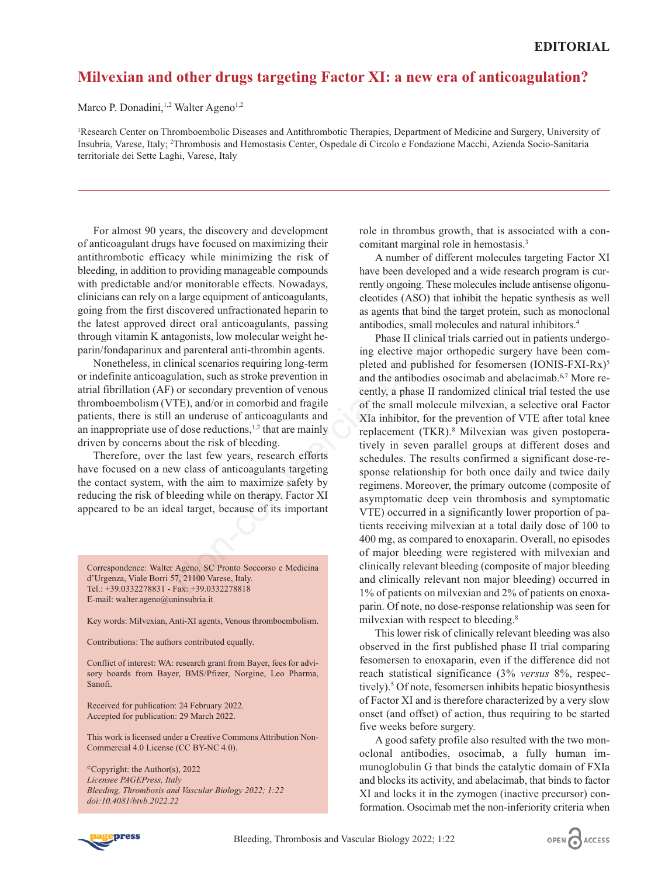## **Milvexian and other drugs targeting Factor XI: a new era of anticoagulation?**

Marco P. Donadini,<sup>1,2</sup> Walter Ageno<sup>1,2</sup>

1 Research Center on Thromboembolic Diseases and Antithrombotic Therapies, Department of Medicine and Surgery, University of Insubria, Varese, Italy; 2 Thrombosis and Hemostasis Center, Ospedale di Circolo e Fondazione Macchi, Azienda Socio-Sanitaria territoriale dei Sette Laghi, Varese, Italy

For almost 90 years, the discovery and development of anticoagulant drugs have focused on maximizing their antithrombotic efficacy while minimizing the risk of bleeding, in addition to providing manageable compounds with predictable and/or monitorable effects. Nowadays, clinicians can rely on a large equipment of anticoagulants, going from the first discovered unfractionated heparin to the latest approved direct oral anticoagulants, passing through vitamin K antagonists, low molecular weight heparin/fondaparinux and parenteral anti-thrombin agents.

Nonetheless, in clinical scenarios requiring long-term or indefinite anticoagulation, such as stroke prevention in atrial fibrillation (AF) or secondary prevention of venous thromboembolism (VTE), and/or in comorbid and fragile patients, there is still an underuse of anticoagulants and an inappropriate use of dose reductions, $1,2$  that are mainly driven by concerns about the risk of bleeding.

Therefore, over the last few years, research efforts have focused on a new class of anticoagulants targeting the contact system, with the aim to maximize safety by reducing the risk of bleeding while on therapy. Factor XI appeared to be an ideal target, because of its important

Correspondence: Walter Ageno, SC Pronto Soccorso e Medicina d'Urgenza, Viale Borri 57, 21100 Varese, Italy. Tel.: +39.0332278831 - Fax: +39.0332278818 E-mail: walter.ageno@uninsubria.it

Key words: Milvexian, Anti-XI agents, Venous thromboembolism.

Contributions: The authors contributed equally.

Conflict of interest: WA: research grant from Bayer, fees for advisory boards from Bayer, BMS/Pfizer, Norgine, Leo Pharma, Sanofi.

Received for publication: 24 February 2022. Accepted for publication: 29 March 2022.

This work is licensed under a Creative Commons Attribution Non-Commercial 4.0 License (CC BY-NC 4.0).

©Copyright: the Author(s), 2022 *Licensee PAGEPress, Italy Bleeding, Thrombosis and Vascular Biology 2022; 1:22 doi:10.4081/btvb.2022.22*

role in thrombus growth, that is associated with a concomitant marginal role in hemostasis.3

A number of different molecules targeting Factor XI have been developed and a wide research program is currently ongoing. These molecules include antisense oligonucleotides (ASO) that inhibit the hepatic synthesis as well as agents that bind the target protein, such as monoclonal antibodies, small molecules and natural inhibitors.4

Phase II clinical trials carried out in patients undergoing elective major orthopedic surgery have been completed and published for fesomersen (IONIS-FXI-Rx)<sup>5</sup> and the antibodies osocimab and abelacimab.6,7 More recently, a phase II randomized clinical trial tested the use of the small molecule milvexian, a selective oral Factor XIa inhibitor, for the prevention of VTE after total knee replacement (TKR).8 Milvexian was given postoperatively in seven parallel groups at different doses and schedules. The results confirmed a significant dose-response relationship for both once daily and twice daily regimens. Moreover, the primary outcome (composite of asymptomatic deep vein thrombosis and symptomatic VTE) occurred in a significantly lower proportion of patients receiving milvexian at a total daily dose of 100 to 400 mg, as compared to enoxaparin. Overall, no episodes of major bleeding were registered with milvexian and clinically relevant bleeding (composite of major bleeding and clinically relevant non major bleeding) occurred in 1% of patients on milvexian and 2% of patients on enoxaparin. Of note, no dose-response relationship was seen for milvexian with respect to bleeding.<sup>8</sup> The multimum and the anticoagulants,<br>
a large equipment of anticoagulants,<br>
a large equipment of anticoagulants, pelotides (ASO) that inhibit this<br>
discovered unfractionated heparin to<br>
a agents that bind the target p<br>
dir

> This lower risk of clinically relevant bleeding was also observed in the first published phase II trial comparing fesomersen to enoxaparin, even if the difference did not reach statistical significance (3% *versus* 8%, respectively).<sup>5</sup> Of note, fesomersen inhibits hepatic biosynthesis of Factor XI and is therefore characterized by a very slow onset (and offset) of action, thus requiring to be started five weeks before surgery.

> A good safety profile also resulted with the two monoclonal antibodies, osocimab, a fully human immunoglobulin G that binds the catalytic domain of FXIa and blocks its activity, and abelacimab, that binds to factor XI and locks it in the zymogen (inactive precursor) conformation. Osocimab met the non-inferiority criteria when